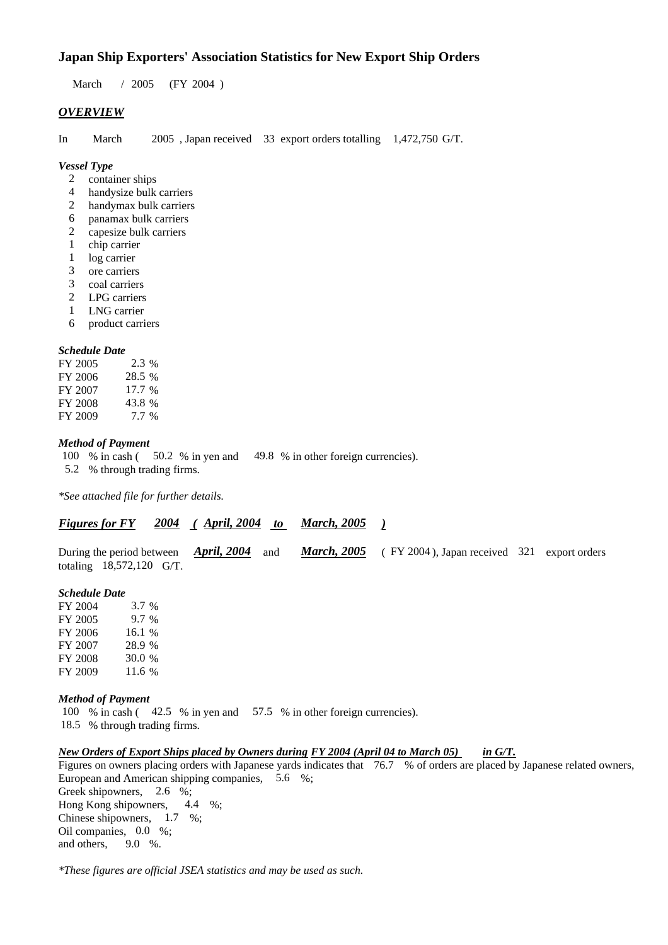# **Japan Ship Exporters' Association Statistics for New Export Ship Orders**

March / 2005 (FY 2004)

## *OVERVIEW*

In March 2005 , Japan received 33 export orders totalling 1,472,750 G/T.

## *Vessel Type*

- 2 container ships
- 4 handysize bulk carriers
- 2 handymax bulk carriers
- 6 panamax bulk carriers
- 2 capesize bulk carriers
- 1 chip carrier
- 1 log carrier
- 3 ore carriers
- 3 coal carriers
- 2 LPG carriers
- 1 LNG carrier
- 6 product carriers

## *Schedule Date*

| FY 2005 | 2.3 %    |
|---------|----------|
| FY 2006 | 28.5 %   |
| FY 2007 | $17.7\%$ |
| FY 2008 | 43.8%    |
| FY 2009 | $7.7\%$  |

#### *Method of Payment*

100 % in cash ( 50.2 % in yen and 49.8 % in other foreign currencies).

5.2 % through trading firms.

*\*See attached file for further details.*

## *Figures for FY 2004 ( April, 2004 to March, 2005 )*

During the period between *April, 2004* and *March, 2005* ( FY 2004 ), Japan received 321 export orders totaling 18,572,120 G/T.

#### *Schedule Date*

FY 2004 3.7 % FY 2005 9.7 % FY 2006 16.1 % FY 2007 28.9 % FY 2008 30.0 % FY 2009 11.6 %

#### *Method of Payment*

100 % in cash ( 42.5 % in yen and 57.5 % in other foreign currencies).

18.5 % through trading firms.

## *New Orders of Export Ships placed by Owners during FY 2004 (April 04 to March 05) in G/T.*

Figures on owners placing orders with Japanese yards indicates that 76.7 % of orders are placed by Japanese related owners, European and American shipping companies, 5.6 %; Greek shipowners, 2.6 %; Hong Kong shipowners, 4.4 %; Chinese shipowners, 1.7 %; Oil companies, 0.0 %; and others, 9.0 %.

*\*These figures are official JSEA statistics and may be used as such.*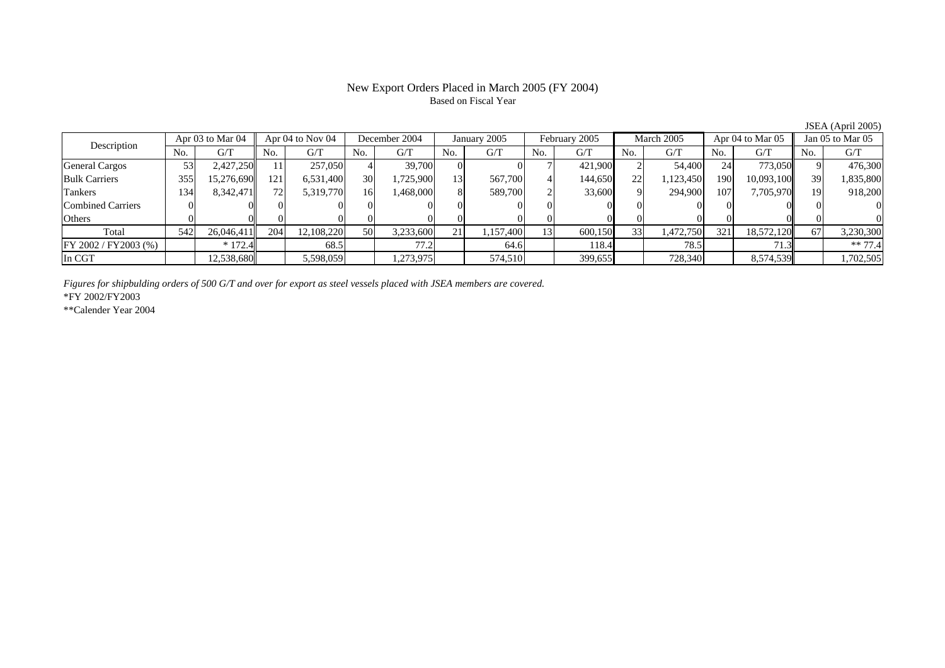## New Export Orders Placed in March 2005 (FY 2004) Based on Fiscal Year

Description Apr 03 to Mar 04 Apr 04 to Nov 04 December 2004 January 2005 February 2005 March 2005 Apr 04 to Mar 05 Jan 05 to Mar 05<br>No. 1 G/T No. 1 G/T No. 1 G/T No. 1 G/T No. 1 G/T No. 1 G/T No. 1 G/T No. 1 G/T No. 1 G/T  $No.$   $G/T$ T || No. | G/T || No. | G/T || No. | G/T || No. | G/T || G/T || No. | G/T || No. | G/T || No. | G/T General Cargos | 53| 2,427,250|| 11| 257,050| 4| 39,700| 0| 0| 7| 421,900| 2| 54,400| 24| 773,050|| 9| 476,300 Bulk Carriers 3555| 15,276,690|| 121| 6,531,400| 30| 1,725,900| 13| 567,700| 4| 144,650| 22| 1,123,450| 190| 10,093,100|| 39| 1,835,800 Tankers 1344| 8,342,471|| 72| 5,319,770| 16| 1,468,000| 8| 589,700| 2| 33,600| 9| 294,900| 107| 7,705,970|| 19| 918,200 Combined Carriers 1 0 0 0 0 0 0 0 0 0 0 0 0 0 0 0 0 **Others** s and  $\vert 0$  0 0 0 0 0 0 0 0 0 0 0 0 0 0 0 Total 5422| 26,046,411|| 204| 12,108,220| 50| 3,233,600| 21| 1,157,400| 13| 600,150| 33| 1,472,750| 321| 18,572,120|| 67| 3,230,300 FY 2002 / FY2003 (%) \* 172.4 68.5 77.2 64.6 118.4 78.5 71.3 \*\* 77.4 In CGT12,538,680 5,598,059 1,273,975 1,274,510 1,399,655 728,340 1,3574,539 1,702,505 1

*Figures for shipbulding orders of 500 G/T and over for export as steel vessels placed with JSEA members are covered.*

\*FY 2002/FY2003

\*\*Calender Year 2004

JSEA (April 2005)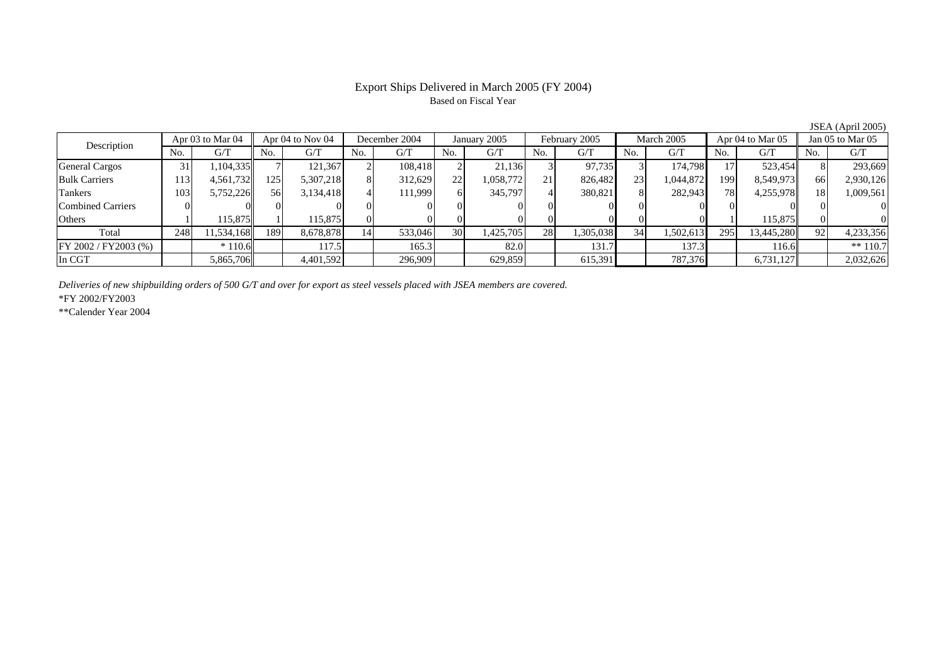# Export Ships Delivered in March 2005 (FY 2004) Based on Fiscal Year

JSEA (April 2005)

| Description           | Apr 03 to Mar 04 |            | Apr 04 to Nov 04 |           | December 2004  |         | January 2005   |           | February 2005 |           | March 2005     |           | Apr 04 to Mar 05 |            | Jan $05$ to Mar $05$ |            |
|-----------------------|------------------|------------|------------------|-----------|----------------|---------|----------------|-----------|---------------|-----------|----------------|-----------|------------------|------------|----------------------|------------|
|                       | No.              | G/T        | No.              | G/T       | N <sub>0</sub> | G/T     | N <sub>0</sub> | G/T       | No.           | G/T       | N <sub>0</sub> | G/T       | No.              | G/T        | No.                  | G/T        |
| General Cargos        | 31               | .104.335   |                  | 121.367   |                | 108.418 |                | 21,136    |               | 97,735    |                | 174.798   |                  | 523,454    |                      | 293,669    |
| <b>Bulk Carriers</b>  | 113              | 4,561,732  | 125              | 5,307,218 |                | 312,629 | 22             | 1,058,772 | 21            | 826,482   | 23             | 1,044,872 | 1991             | 8,549,973  | 66                   | 2,930,126  |
| Tankers               | 103              | 5,752,226  | 56               | 3,134,418 |                | 111.999 |                | 345,797   | 4             | 380,821   |                | 282,943   | 78               | 4,255,978  | 18                   | 1,009,561  |
| Combined Carriers     |                  |            |                  |           |                |         |                |           |               |           |                |           |                  |            |                      |            |
| Others                |                  | 115.875    |                  | 115,875   |                |         |                | 01        |               |           |                |           |                  | 115,875    |                      |            |
| Total                 | 248              | 11,534,168 | 189              | 8,678,878 | 14             | 533,046 | 30             | 1,425,705 | 28            | 1,305,038 | 34             | 1,502,613 | 295              | 13,445,280 | 92.                  | 4,233,356  |
| FY 2002 / FY 2003 (%) |                  | $*110.6$   |                  | 117.5     |                | 165.3   |                | 82.0      |               | 131.7     |                | 137.3     |                  | 116.6      |                      | $** 110.7$ |
| In CGT                |                  | 5,865,706  |                  | 4,401,592 |                | 296,909 |                | 629,859   |               | 615,391   |                | 787,376   |                  | 6,731,127  |                      | 2,032,626  |

*Deliveries of new shipbuilding orders of 500 G/T and over for export as steel vessels placed with JSEA members are covered.*

\*FY 2002/FY2003

\*\*Calender Year 2004